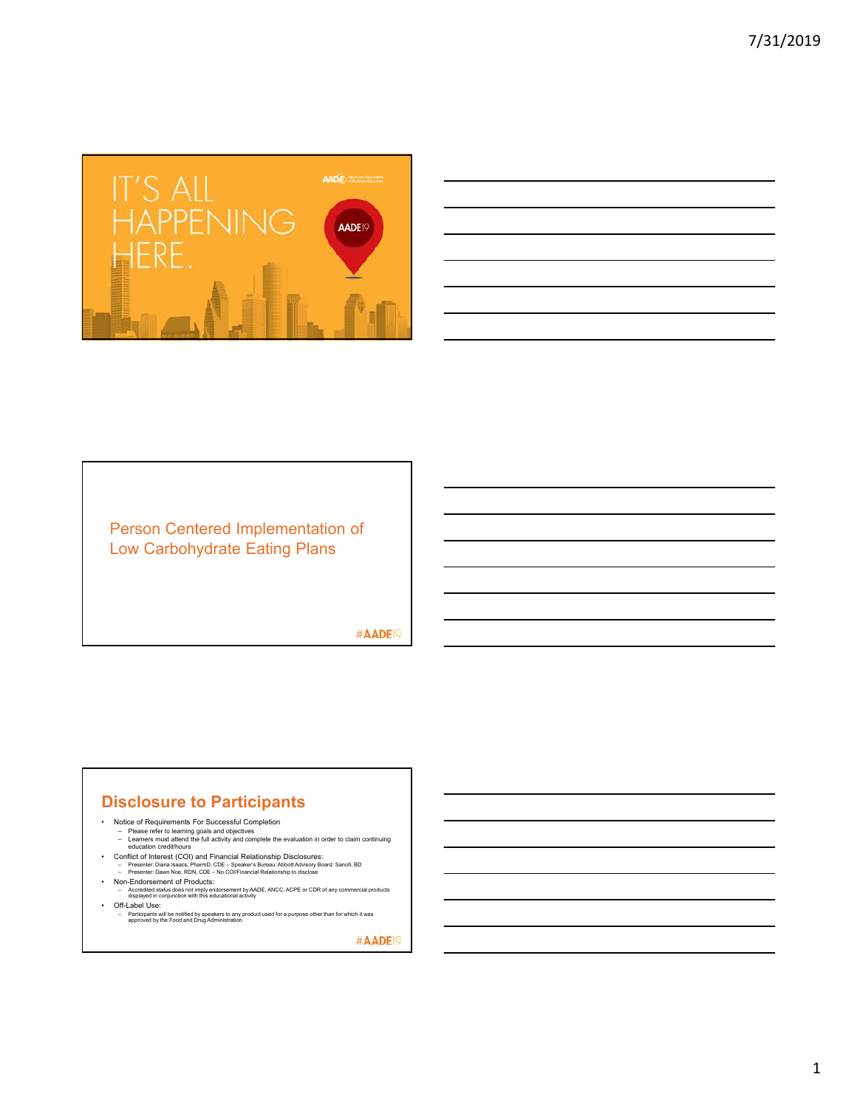

| <u> 1980 - Andrea Stadt Britain, amerikansk politik (</u>                  | <b>Contract Contract</b> |
|----------------------------------------------------------------------------|--------------------------|
| the contract of the contract of the                                        |                          |
|                                                                            | <b>Contract Contract</b> |
|                                                                            |                          |
| the control of the control of the control of the control of the control of |                          |

## Person Centered Implementation of Low Carbohydrate Eating Plans

#AADE<sup>19</sup>

# **Disclosure to Participants**

- -
- Notice of Requirements For Successful Completion Please refer to learning goals and objectives Learners must attend the full activity and complete the evaluation in order to claim continuing education credit/hours
	-
- Conflict of Interest (COI) and Financial Relationship Disclosures:<br>- Presenter: Diana Isaacs, PharmD, CDE Speaker's Bureau: Abbott Advisory Board: Sanofi, BD<br>- Presenter: Dawn Noe, RDN, CDE No COI/Financial Relation
- 
- Non-Endorsement of Products: Accredited status does not imply endorsement by AADE, ANCC, ACPE or CDR of any commercial products displayed in conjunction with this educational activity
- Off-Label Use:
	- Participants will be notified by speakers to any product used for a purpose other than for which it was approved by the Food and Drug Administration.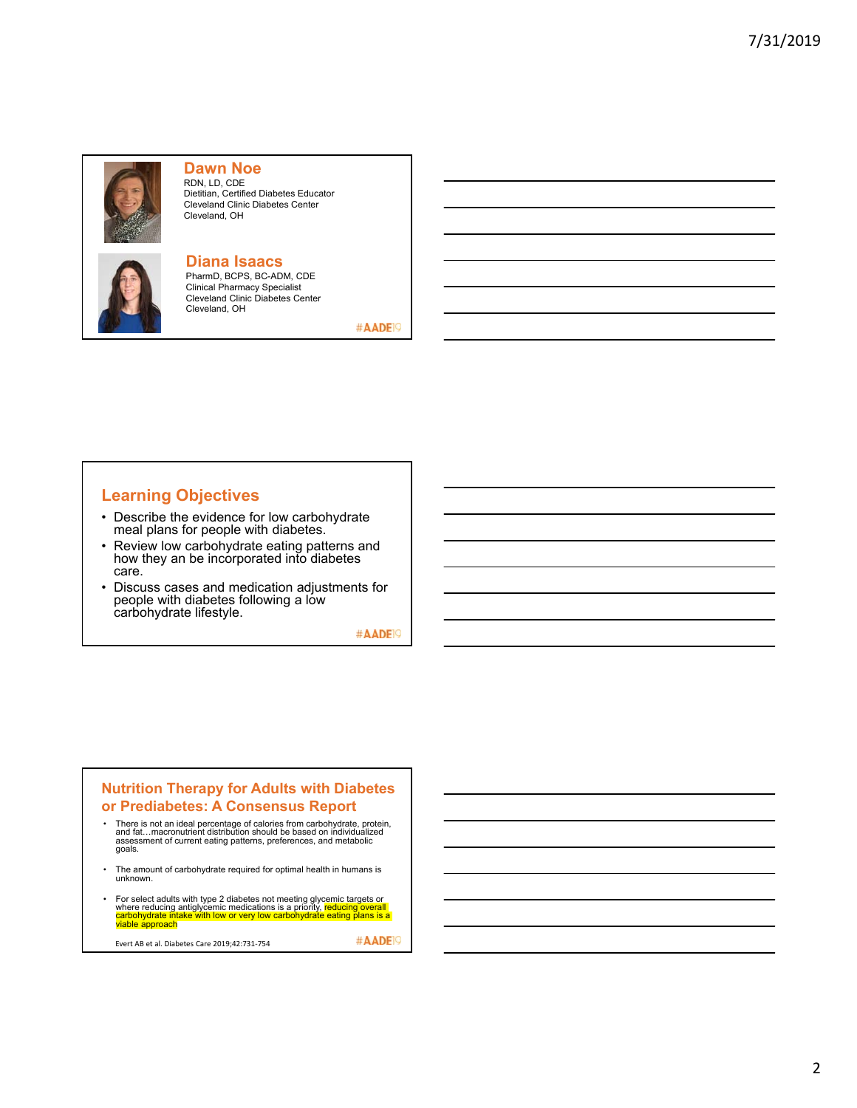

**Dawn Noe** RDN, LD, CDE Dietitian, Certified Diabetes Educator Cleveland Clinic Diabetes Center Cleveland, OH



**Diana Isaacs** PharmD, BCPS, BC-ADM, CDE

Clinical Pharmacy Specialist Cleveland Clinic Diabetes Center Cleveland, OH

#AADE<sup>19</sup>

# **Learning Objectives**

- Describe the evidence for low carbohydrate meal plans for people with diabetes.
- Review low carbohydrate eating patterns and how they an be incorporated into diabetes care.
- Discuss cases and medication adjustments for people with diabetes following a low carbohydrate lifestyle.

#AADE<sup>19</sup>

#### **Nutrition Therapy for Adults with Diabetes or Prediabetes: A Consensus Report**

- There is not an ideal percentage of calories from carbohydrate, protein, and fat…macronutrient distribution should be based on individualized assessment of current eating patterns, preferences, and metabolic goals.
- The amount of carbohydrate required for optimal health in humans is unknown.
- For select adults with type 2 diabetes not meeting glycemic targets or<br>where reducing antiglycemic medications is a priority, <mark>reducing overall</mark><br>carbohydrate intake with low or very low carbohydrate eating plans is a<br>via

Evert AB et al. Diabetes Care 2019;42:731‐754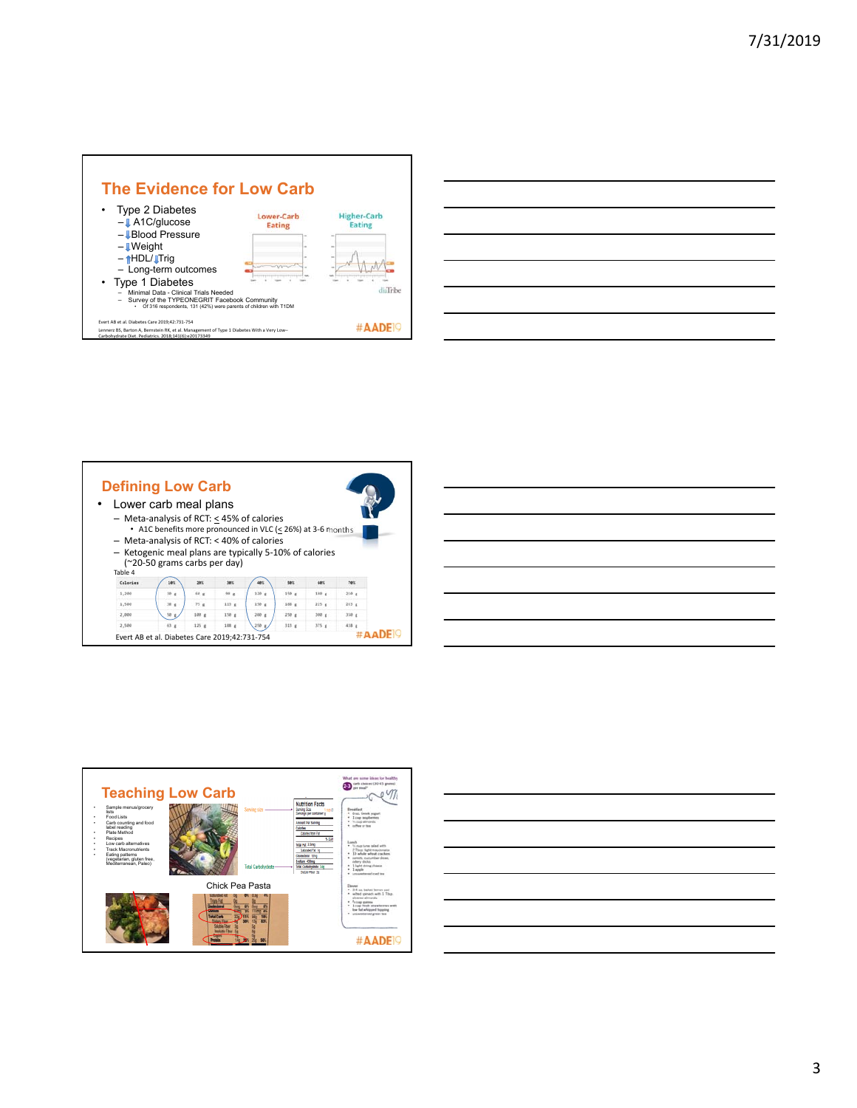







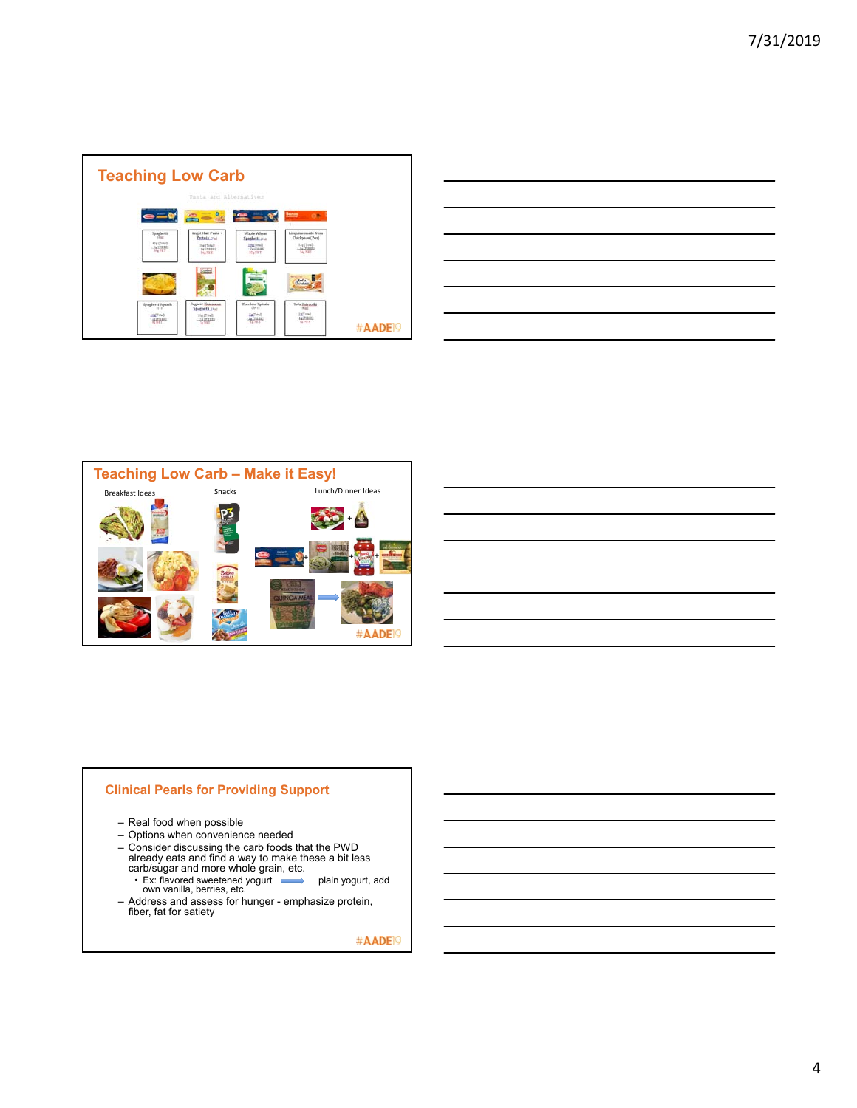

| <u>successive and the second control of the second control of the second control of the second control of the second</u> |                                                                                                                      |  |  |  |
|--------------------------------------------------------------------------------------------------------------------------|----------------------------------------------------------------------------------------------------------------------|--|--|--|
|                                                                                                                          |                                                                                                                      |  |  |  |
| the contract of the contract of the contract of the contract of the contract of the contract of the contract of          |                                                                                                                      |  |  |  |
| <u> Alexandro de la contrada de la contrada de la contrada de la contrada de la contrada de la contrada de la co</u>     |                                                                                                                      |  |  |  |
|                                                                                                                          |                                                                                                                      |  |  |  |
|                                                                                                                          |                                                                                                                      |  |  |  |
|                                                                                                                          | <u> 1989 - Andrea Santa Andrea Andrea Andrea Andrea Andrea Andrea Andrea Andrea Andrea Andrea Andrea Andrea Andr</u> |  |  |  |
|                                                                                                                          |                                                                                                                      |  |  |  |



#### **Clinical Pearls for Providing Support**

- Real food when possible
- Options when convenience needed
- Consider discussing the carb foods that the PWD already eats and find a way to make these a bit less carb/sugar and more whole grain, etc.
	- Ex: flavored sweetened yogurt plain yogurt, add own vanilla, berries, etc.
- Address and assess for hunger emphasize protein, fiber, fat for satiety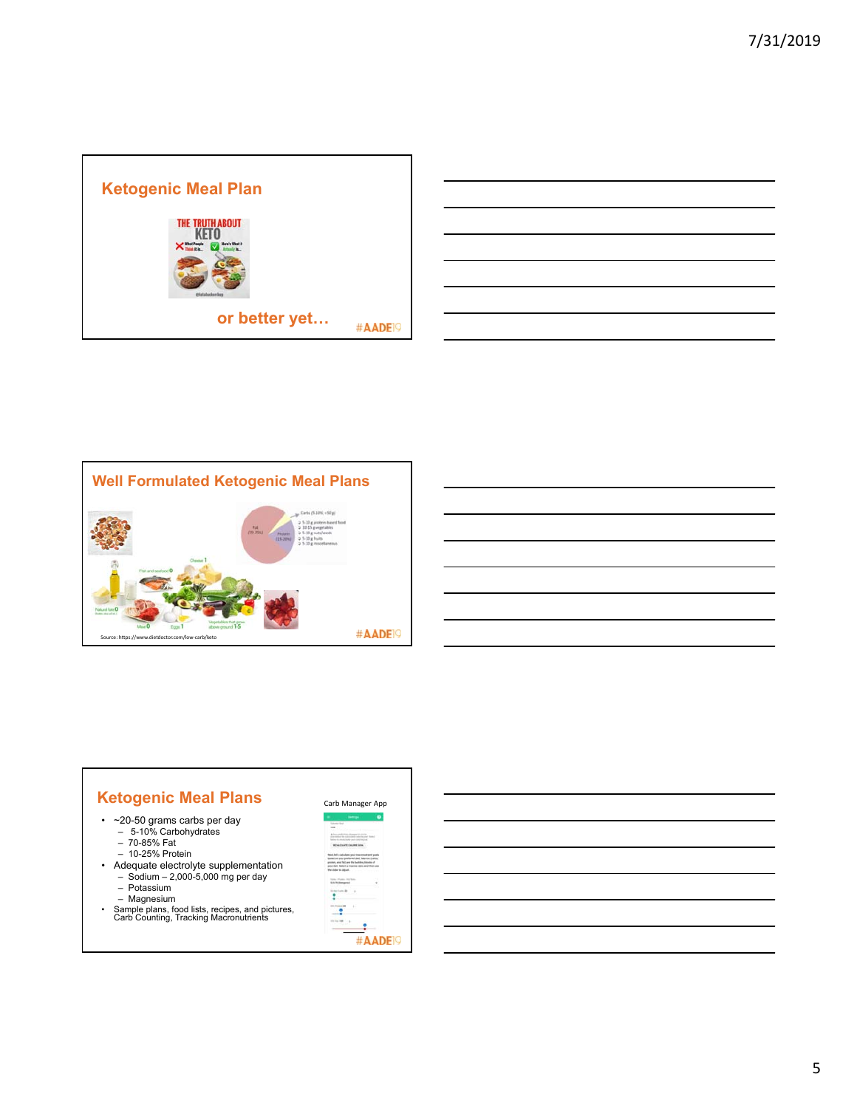



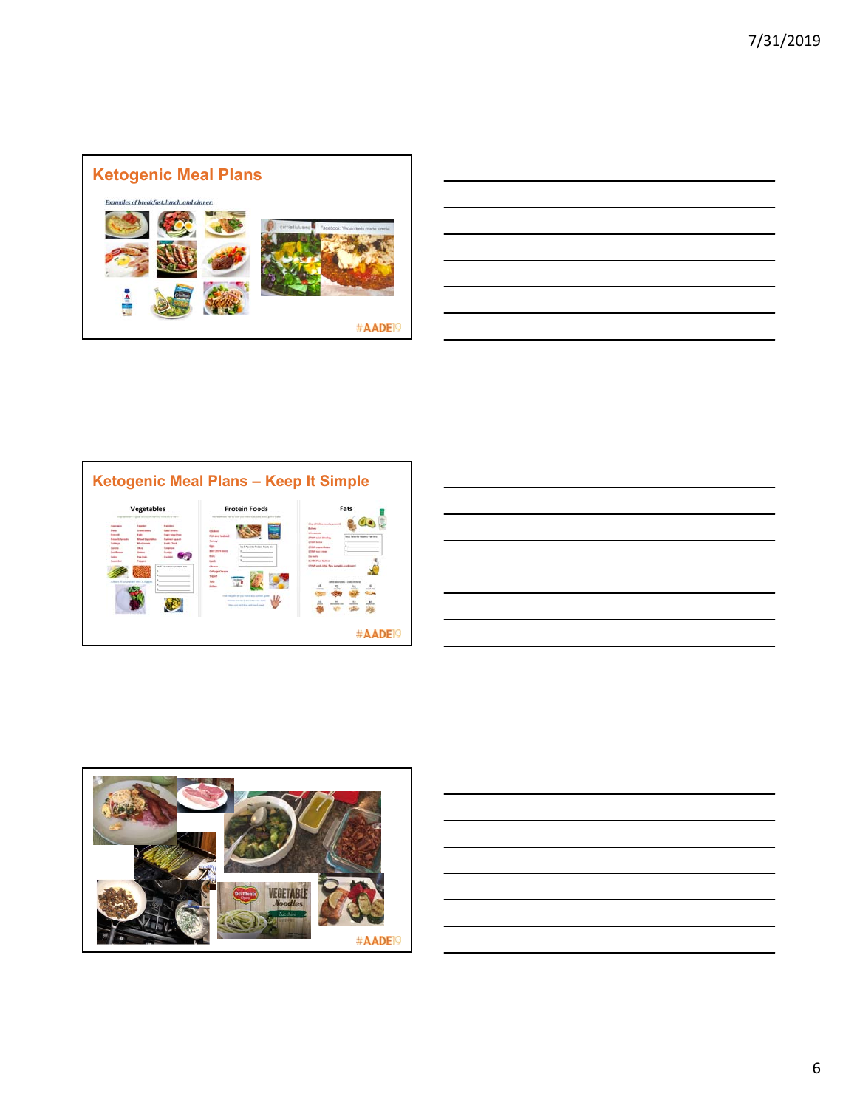

| ,我们的人们就会在这里,我们的人们就会在这里,我们的人们就会在这里,我们的人们就会在这里,我们的人们就会在这里,我们的人们就会在这里,我们的人们就会在这里,我们<br>第一百一十一章 我们的人们的人们,我们的人们的人们的人们,我们的人们的人们的人们,我们的人们的人们,我们的人们的人们,我们的人们的人们,我们的人们的人们,我们的 |  |  |
|----------------------------------------------------------------------------------------------------------------------------------------------------------------------|--|--|
|                                                                                                                                                                      |  |  |
|                                                                                                                                                                      |  |  |
|                                                                                                                                                                      |  |  |
| <u> 1989 - Jan Barat de Barat de la Barat de la Barat de la Barat de la Barat de la Barat de la Barat de la Bara</u>                                                 |  |  |
|                                                                                                                                                                      |  |  |
| ,一个人的人都是一个人的人,但是我们的人,我们也不会不会不会。""我们的人,我们也不会不会不会不会。""我们的人,我们也不会不会不会不会。""我们的人,我们也不                                                                                     |  |  |







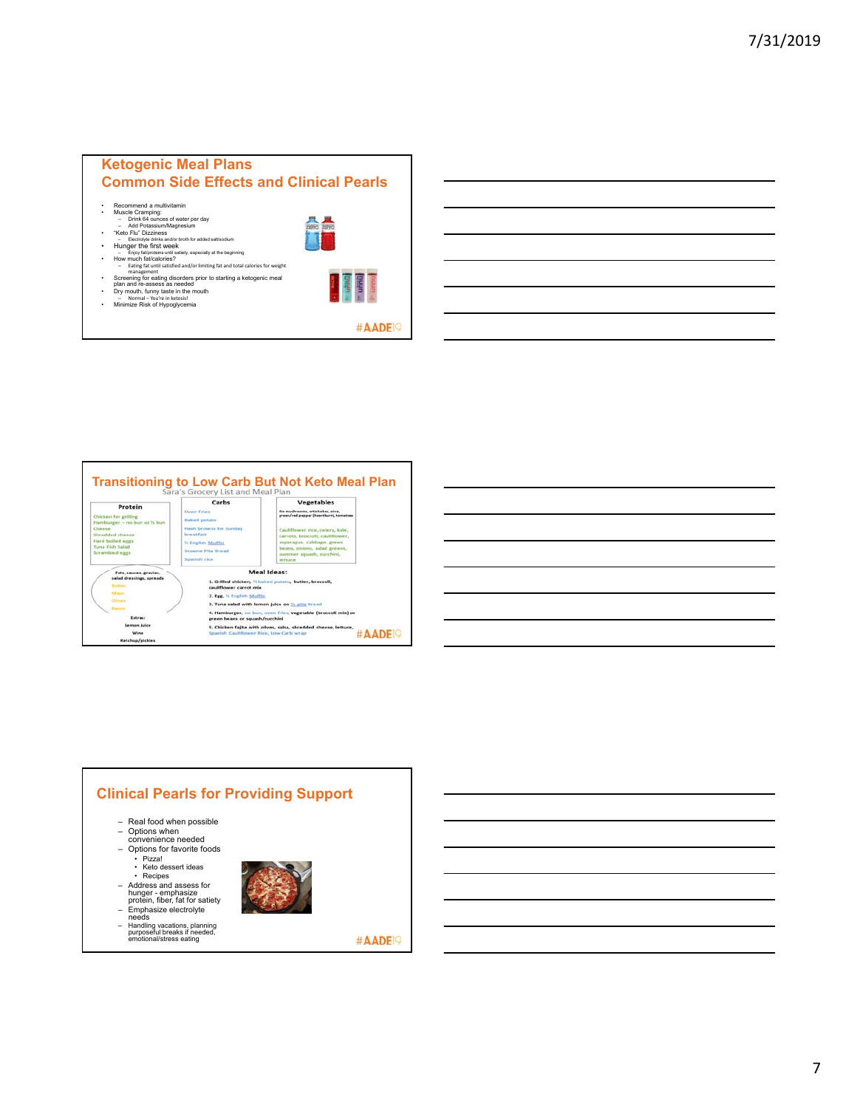# **Ketogenic Meal Plans Common Side Effects and Clinical Pearls**

- 
- Recommend a multivitamin<br>• Muscle Cramping:<br>– Drink 64 ounces of water per day<br>– Add Potassium/Magnesium<br>• "Keto Flu" Dizziness<br>– Electrolyte drinks and/or broth for added salt/sodium<br>– Electrolyte drinks and/or broth fo
	-



- 
- Hunger the first week<br>• Enjoy fat/proteins until sately, especially at the beginning<br>• How much fat/calories?<br>• Eating fat until satisfied and/or limiting fat and total calories for weight<br>• management
- 
- Screening for eating disorders prior to starting a ketogenic meal<br>• Dry mouth, funny taste in the mouth<br>• Dry mouth, funny taste in the mouth<br>• Minimize Risk of Hypoglycemia<br>• Minimize Risk of Hypoglycemia
- 



**Transitioning to Low Carb But Not Keto Meal Plan** 





# **Clinical Pearls for Providing Support**– Real food when possible – Options when convenience needed – Options for favorite foods • Pizza! • Keto dessert ideas • Recipes – Address and assess for<br>hunger - emphasize<br>protein, fiber, fat for satiety<br>– Emphasize electrolyte<br>needs – Handling vacations, planning purposeful breaks if needed, emotional/stress eating #AADE<sup>19</sup>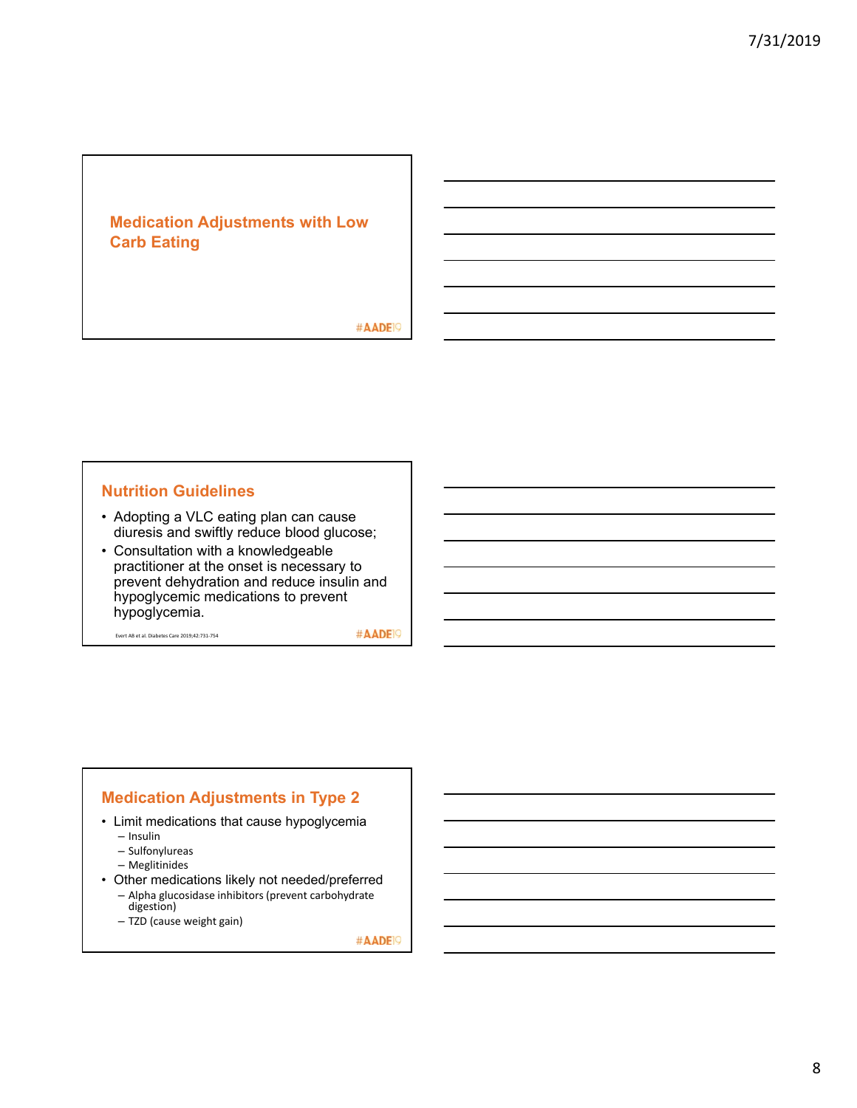# **Medication Adjustments with Low Carb Eating**

#AADE<sup>19</sup>

### **Nutrition Guidelines**

- Adopting a VLC eating plan can cause diuresis and swiftly reduce blood glucose;
- Consultation with a knowledgeable practitioner at the onset is necessary to prevent dehydration and reduce insulin and hypoglycemic medications to prevent hypoglycemia.

Evert AB et al. Diabetes Care 2019;42:731‐754

#AADE<sup>19</sup>

#### **Medication Adjustments in Type 2**

- Limit medications that cause hypoglycemia
	- Insulin
	- Sulfonylureas
	- Meglitinides
- Other medications likely not needed/preferred – Alpha glucosidase inhibitors (prevent carbohydrate digestion)
	- TZD (cause weight gain)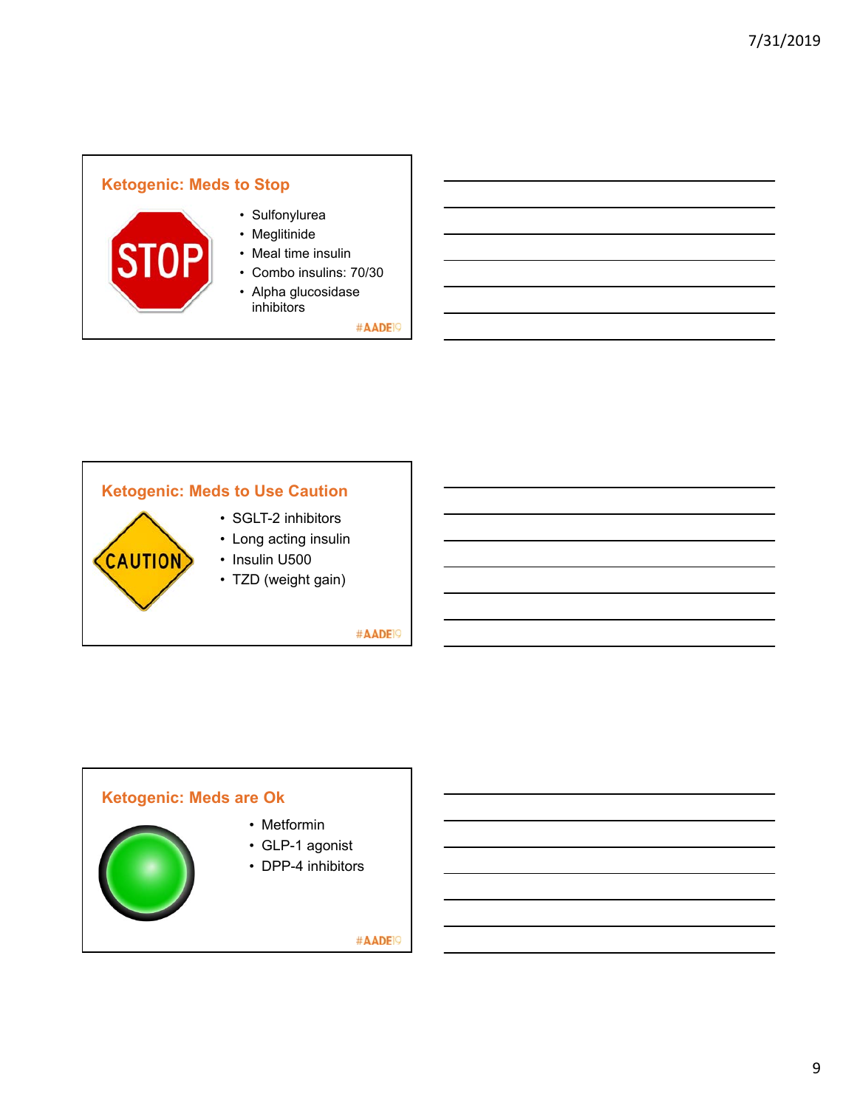# **Ketogenic: Meds to Stop**



**CAUTION** 

- Sulfonylurea
- Meglitinide
- Meal time insulin
- Combo insulins: 70/30
- Alpha glucosidase inhibitors

#AADE<sup>19</sup>

# **Ketogenic: Meds to Use Caution**

- SGLT-2 inhibitors
- Long acting insulin
- Insulin U500
- TZD (weight gain)

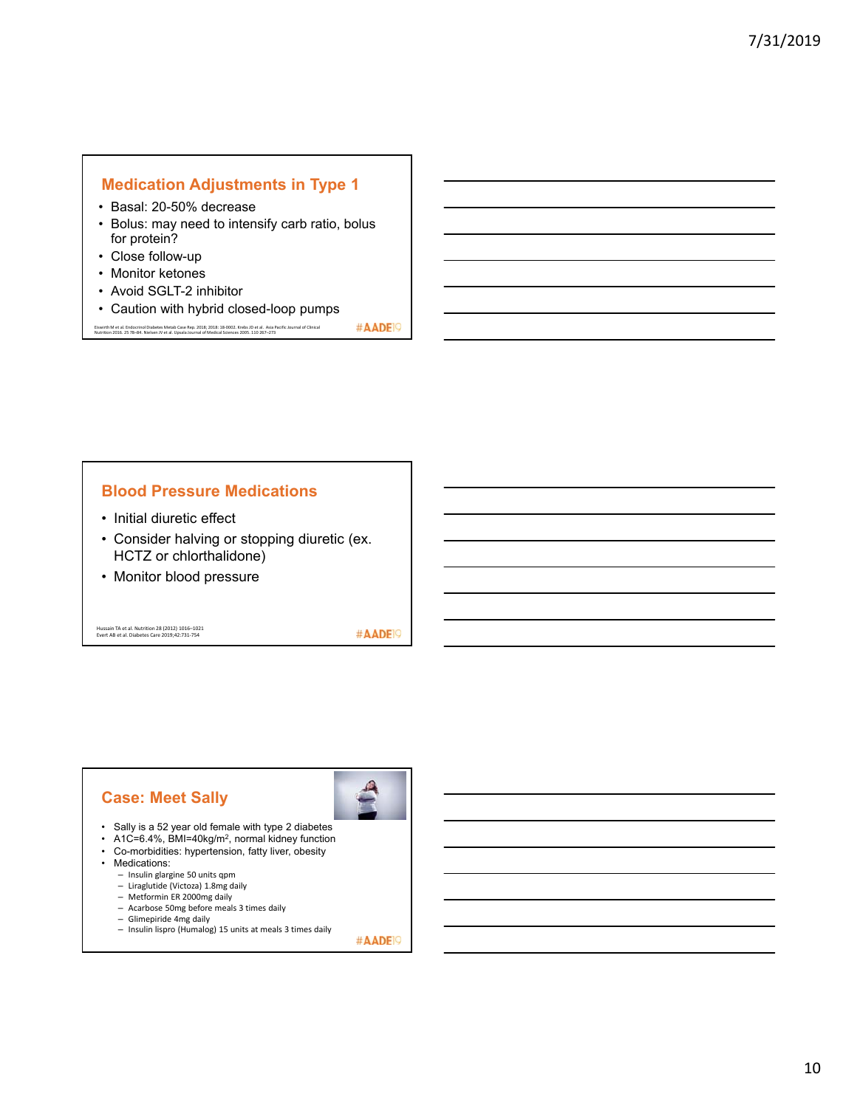#### **Medication Adjustments in Type 1**

- Basal: 20-50% decrease
- Bolus: may need to intensify carb ratio, bolus for protein?
- Close follow-up
- Monitor ketones
- Avoid SGLT-2 inhibitor
- Caution with hybrid closed-loop pumps

#AADE<sup>19</sup> Eiswirth M et al. Endocrinol Diabetes Metab Case Rep. 2018; 2018: 18-0002. Krebs JD et al. Asia Pacific Journal of Clinical<br>Nutrition 2016. 25 78–84. Nielsen JV et al. Upsala Journal of Medical Sciences 2005. 110 267–273

#### **Blood Pressure Medications**

- Initial diuretic effect
- Consider halving or stopping diuretic (ex. HCTZ or chlorthalidone)
- Monitor blood pressure

Hussain TA et al. Nutrition 28 (2012) 1016–1021 Evert AB et al. Diabetes Care 2019;42:731‐754

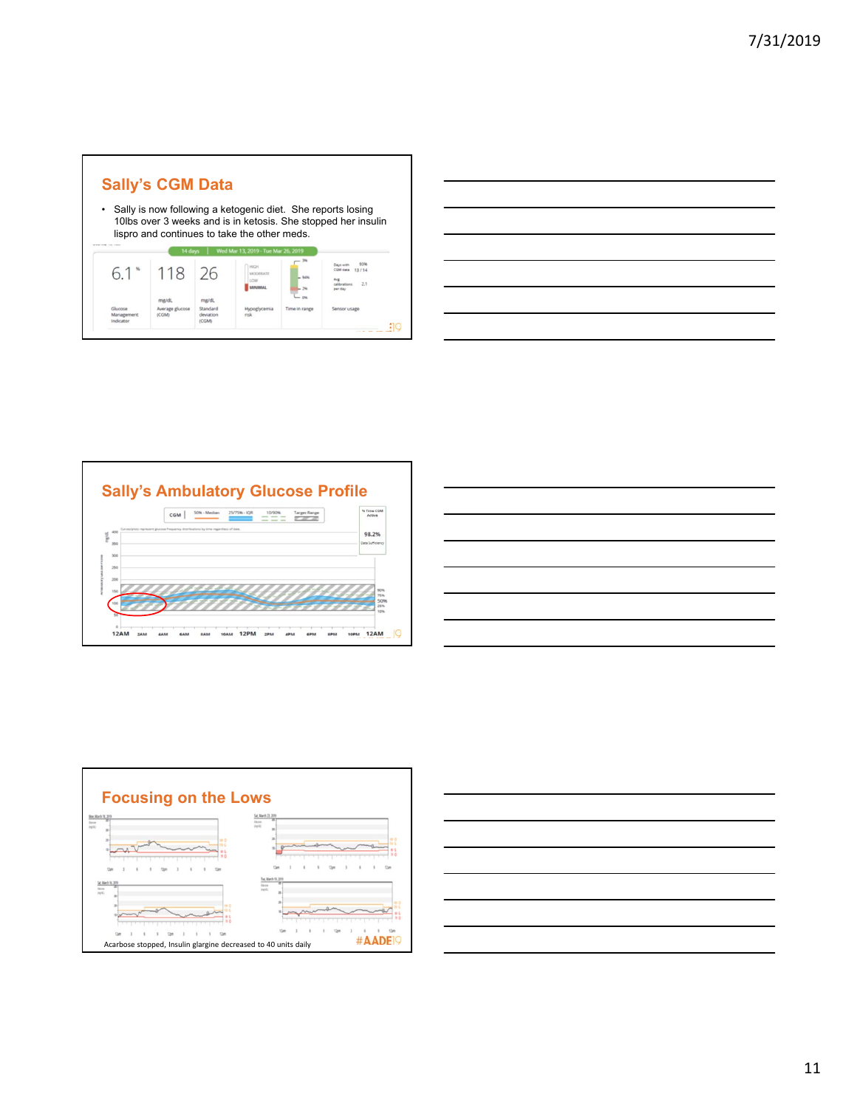

| $\overline{\phantom{a}}$ |                                                                                                                     |          |
|--------------------------|---------------------------------------------------------------------------------------------------------------------|----------|
|                          |                                                                                                                     |          |
|                          |                                                                                                                     | ________ |
|                          |                                                                                                                     |          |
|                          | and the contract of the contract of the contract of the contract of the contract of the contract of the contract of |          |
|                          |                                                                                                                     |          |
|                          |                                                                                                                     |          |







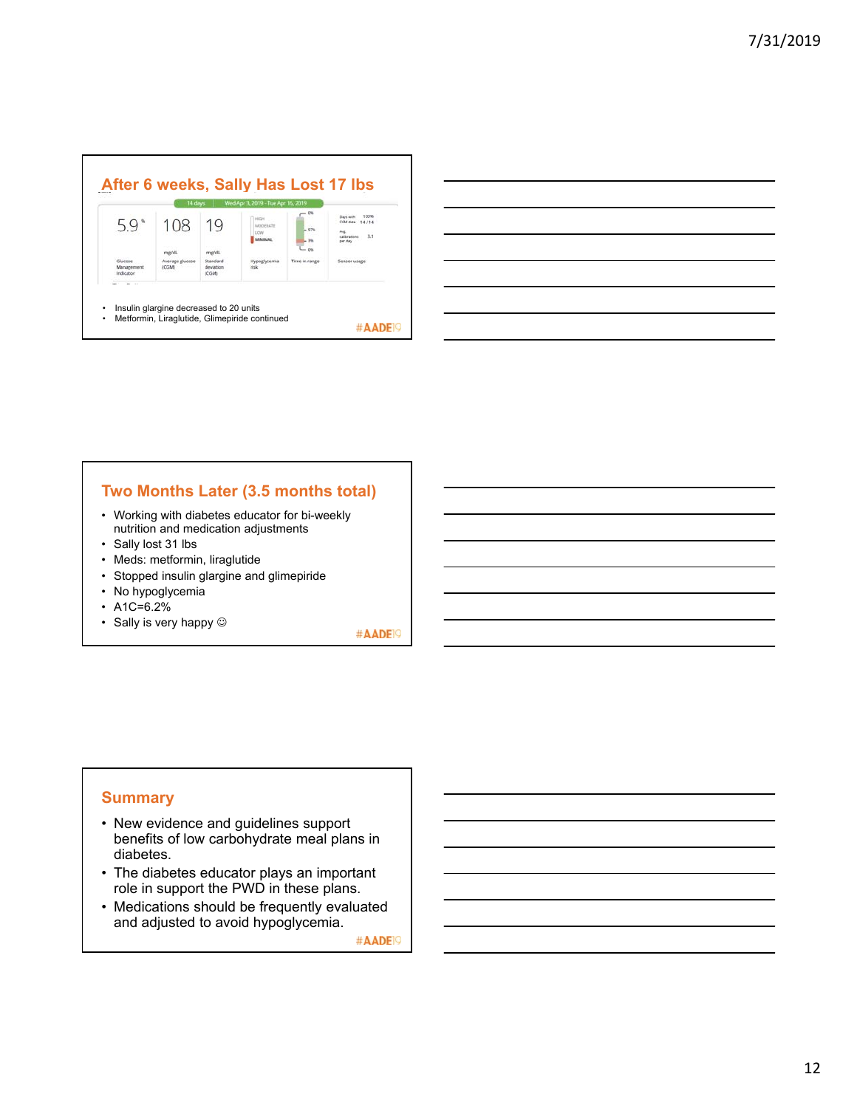| 59                                 | 108                               | 19                                             | <b>HIGH</b><br>MODERATE<br>LOW<br><b>MINIMAAL</b> |                          | 100%<br>Days with<br><b>COM mata</b><br>14/14<br>Aug.<br>3.1<br>calibration<br>per da |
|------------------------------------|-----------------------------------|------------------------------------------------|---------------------------------------------------|--------------------------|---------------------------------------------------------------------------------------|
| Glucose<br>Management<br>Indicator | me/di<br>Average glucose<br>(CGM) | mg/dL<br>Standard<br>deviation<br><b>ICGMI</b> | Hypoglycemia<br>risk                              | $-0.06$<br>Time in range | Sensor usage                                                                          |



#### **Two Months Later (3.5 months total)**

- Working with diabetes educator for bi-weekly nutrition and medication adjustments
- Sally lost 31 lbs
- Meds: metformin, liraglutide
- Stopped insulin glargine and glimepiride
- No hypoglycemia
- A1C=6.2%
- Sally is very happy  $\circledcirc$

#AADE<sup>19</sup>

#### **Summary**

- New evidence and guidelines support benefits of low carbohydrate meal plans in diabetes.
- The diabetes educator plays an important role in support the PWD in these plans.
- Medications should be frequently evaluated and adjusted to avoid hypoglycemia.